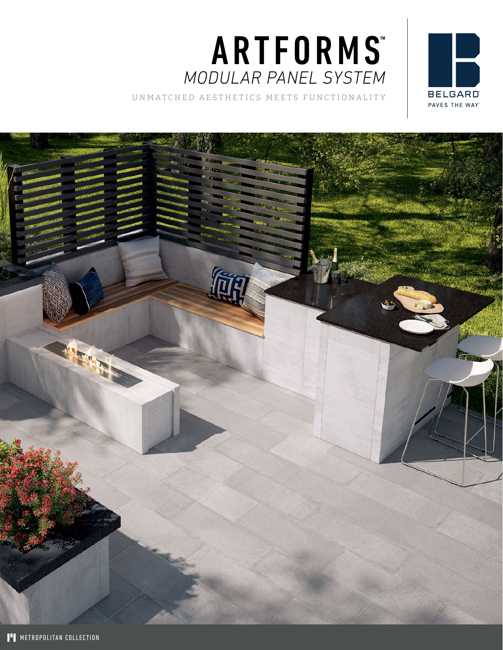



UNMATCHED AESTHETICS MEETS FUNCTIONALITY